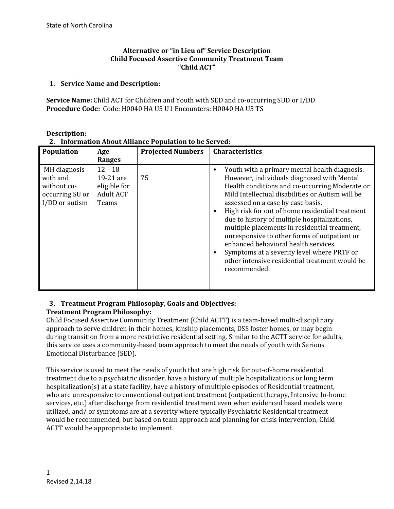#### **Alternative or "in Lieu of" Service Description Child Focused Assertive Community Treatment Team "Child ACT"**

#### **1. Service Name and Description:**

**Service Name:** Child ACT for Children and Youth with SED and co-occurring SUD or I/DD **Procedure Code:** Code: H0040 HA U5 U1 Encounters: H0040 HA U5 TS

| Population                                                                   | Age<br>Ranges                                                       | <b>Projected Numbers</b> | Characteristics                                                                                                                                                                                                                                                                                                                                                                                                                                                                                                                                                                                    |
|------------------------------------------------------------------------------|---------------------------------------------------------------------|--------------------------|----------------------------------------------------------------------------------------------------------------------------------------------------------------------------------------------------------------------------------------------------------------------------------------------------------------------------------------------------------------------------------------------------------------------------------------------------------------------------------------------------------------------------------------------------------------------------------------------------|
| MH diagnosis<br>with and<br>without co-<br>occurring SU or<br>I/DD or autism | $12 - 18$<br>19-21 are<br>eligible for<br><b>Adult ACT</b><br>Teams | 75                       | Youth with a primary mental health diagnosis.<br>However, individuals diagnosed with Mental<br>Health conditions and co-occurring Moderate or<br>Mild Intellectual disabilities or Autism will be<br>assessed on a case by case basis.<br>High risk for out of home residential treatment<br>due to history of multiple hospitalizations,<br>multiple placements in residential treatment,<br>unresponsive to other forms of outpatient or<br>enhanced behavioral health services.<br>Symptoms at a severity level where PRTF or<br>other intensive residential treatment would be<br>recommended. |

#### **Description:**

**2. Information About Alliance Population to be Served:**

#### **3. Treatment Program Philosophy, Goals and Objectives: Treatment Program Philosophy:**

Child Focused Assertive Community Treatment (Child ACTT) is a team-based multi-disciplinary approach to serve children in their homes, kinship placements, DSS foster homes, or may begin during transition from a more restrictive residential setting. Similar to the ACTT service for adults, this service uses a community-based team approach to meet the needs of youth with Serious Emotional Disturbance (SED).

This service is used to meet the needs of youth that are high risk for out-of-home residential treatment due to a psychiatric disorder, have a history of multiple hospitalizations or long term hospitalization(s) at a state facility, have a history of multiple episodes of Residential treatment, who are unresponsive to conventional outpatient treatment (outpatient therapy, Intensive In-home services, etc.) after discharge from residential treatment even when evidenced based models were utilized, and/ or symptoms are at a severity where typically Psychiatric Residential treatment would be recommended, but based on team approach and planning for crisis intervention, Child ACTT would be appropriate to implement.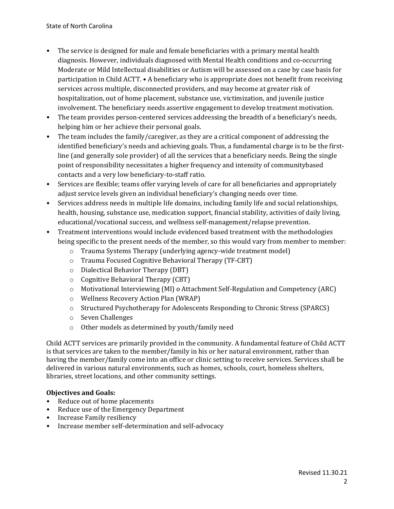- The service is designed for male and female beneficiaries with a primary mental health diagnosis. However, individuals diagnosed with Mental Health conditions and co-occurring Moderate or Mild Intellectual disabilities or Autism will be assessed on a case by case basis for participation in Child ACTT. • A beneficiary who is appropriate does not benefit from receiving services across multiple, disconnected providers, and may become at greater risk of hospitalization, out of home placement, substance use, victimization, and juvenile justice involvement. The beneficiary needs assertive engagement to develop treatment motivation.
- The team provides person-centered services addressing the breadth of a beneficiary's needs, helping him or her achieve their personal goals.
- The team includes the family/caregiver, as they are a critical component of addressing the identified beneficiary's needs and achieving goals. Thus, a fundamental charge is to be the firstline (and generally sole provider) of all the services that a beneficiary needs. Being the single point of responsibility necessitates a higher frequency and intensity of communitybased contacts and a very low beneficiary-to-staff ratio.
- Services are flexible; teams offer varying levels of care for all beneficiaries and appropriately adjust service levels given an individual beneficiary's changing needs over time.
- Services address needs in multiple life domains, including family life and social relationships, health, housing, substance use, medication support, financial stability, activities of daily living, educational/vocational success, and wellness self-management/relapse prevention.
- Treatment interventions would include evidenced based treatment with the methodologies being specific to the present needs of the member, so this would vary from member to member:
	- o Trauma Systems Therapy (underlying agency-wide treatment model)
	- o Trauma Focused Cognitive Behavioral Therapy (TF-CBT)
	- o Dialectical Behavior Therapy (DBT)
	- o Cognitive Behavioral Therapy (CBT)
	- o Motivational Interviewing (MI) o Attachment Self-Regulation and Competency (ARC)
	- o Wellness Recovery Action Plan (WRAP)
	- o Structured Psychotherapy for Adolescents Responding to Chronic Stress (SPARCS)
	- o Seven Challenges
	- o Other models as determined by youth/family need

Child ACTT services are primarily provided in the community. A fundamental feature of Child ACTT is that services are taken to the member/family in his or her natural environment, rather than having the member/family come into an office or clinic setting to receive services. Services shall be delivered in various natural environments, such as homes, schools, court, homeless shelters, libraries, street locations, and other community settings.

# **Objectives and Goals:**

- Reduce out of home placements
- Reduce use of the Emergency Department
- Increase Family resiliency
- Increase member self-determination and self-advocacy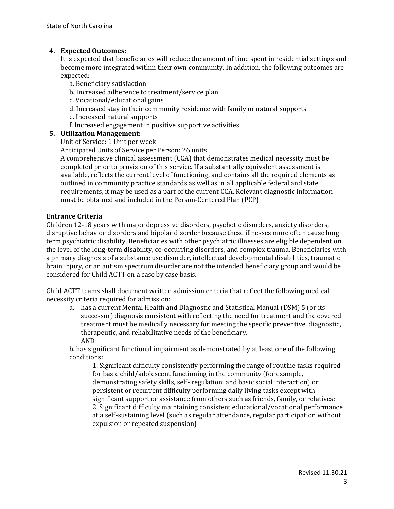# **4. Expected Outcomes:**

It is expected that beneficiaries will reduce the amount of time spent in residential settings and become more integrated within their own community. In addition, the following outcomes are expected:

- a. Beneficiary satisfaction
- b. Increased adherence to treatment/service plan
- c. Vocational/educational gains
- d. Increased stay in their community residence with family or natural supports
- e. Increased natural supports
- f. Increased engagement in positive supportive activities

### **5. Utilization Management:**

Unit of Service: 1 Unit per week

Anticipated Units of Service per Person: 26 units

A comprehensive clinical assessment (CCA) that demonstrates medical necessity must be completed prior to provision of this service. If a substantially equivalent assessment is available, reflects the current level of functioning, and contains all the required elements as outlined in community practice standards as well as in all applicable federal and state requirements, it may be used as a part of the current CCA. Relevant diagnostic information must be obtained and included in the Person-Centered Plan (PCP)

### **Entrance Criteria**

Children 12-18 years with major depressive disorders, psychotic disorders, anxiety disorders, disruptive behavior disorders and bipolar disorder because these illnesses more often cause long term psychiatric disability. Beneficiaries with other psychiatric illnesses are eligible dependent on the level of the long-term disability, co-occurring disorders, and complex trauma. Beneficiaries with a primary diagnosis of a substance use disorder, intellectual developmental disabilities, traumatic brain injury, or an autism spectrum disorder are not the intended beneficiary group and would be considered for Child ACTT on a case by case basis.

Child ACTT teams shall document written admission criteria that reflect the following medical necessity criteria required for admission:

a. has a current Mental Health and Diagnostic and Statistical Manual (DSM) 5 (or its successor) diagnosis consistent with reflecting the need for treatment and the covered treatment must be medically necessary for meeting the specific preventive, diagnostic, therapeutic, and rehabilitative needs of the beneficiary. AND

b. has significant functional impairment as demonstrated by at least one of the following conditions:

1. Significant difficulty consistently performing the range of routine tasks required for basic child/adolescent functioning in the community (for example, demonstrating safety skills, self- regulation, and basic social interaction) or persistent or recurrent difficulty performing daily living tasks except with significant support or assistance from others such as friends, family, or relatives; 2. Significant difficulty maintaining consistent educational/vocational performance at a self-sustaining level (such as regular attendance, regular participation without expulsion or repeated suspension)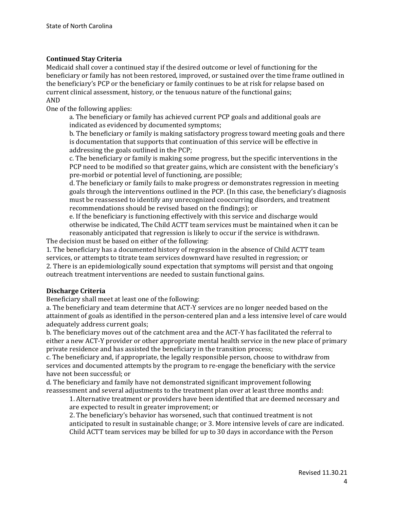### **Continued Stay Criteria**

Medicaid shall cover a continued stay if the desired outcome or level of functioning for the beneficiary or family has not been restored, improved, or sustained over the time frame outlined in the beneficiary's PCP or the beneficiary or family continues to be at risk for relapse based on current clinical assessment, history, or the tenuous nature of the functional gains; AND

One of the following applies:

a. The beneficiary or family has achieved current PCP goals and additional goals are indicated as evidenced by documented symptoms;

b. The beneficiary or family is making satisfactory progress toward meeting goals and there is documentation that supports that continuation of this service will be effective in addressing the goals outlined in the PCP;

c. The beneficiary or family is making some progress, but the specific interventions in the PCP need to be modified so that greater gains, which are consistent with the beneficiary's pre-morbid or potential level of functioning, are possible;

d. The beneficiary or family fails to make progress or demonstrates regression in meeting goals through the interventions outlined in the PCP. (In this case, the beneficiary's diagnosis must be reassessed to identify any unrecognized cooccurring disorders, and treatment recommendations should be revised based on the findings); or

e. If the beneficiary is functioning effectively with this service and discharge would otherwise be indicated, The Child ACTT team services must be maintained when it can be reasonably anticipated that regression is likely to occur if the service is withdrawn.

The decision must be based on either of the following:

1. The beneficiary has a documented history of regression in the absence of Child ACTT team services, or attempts to titrate team services downward have resulted in regression; or 2. There is an epidemiologically sound expectation that symptoms will persist and that ongoing outreach treatment interventions are needed to sustain functional gains.

#### **Discharge Criteria**

Beneficiary shall meet at least one of the following:

a. The beneficiary and team determine that ACT-Y services are no longer needed based on the attainment of goals as identified in the person-centered plan and a less intensive level of care would adequately address current goals;

b. The beneficiary moves out of the catchment area and the ACT-Y has facilitated the referral to either a new ACT-Y provider or other appropriate mental health service in the new place of primary private residence and has assisted the beneficiary in the transition process;

c. The beneficiary and, if appropriate, the legally responsible person, choose to withdraw from services and documented attempts by the program to re-engage the beneficiary with the service have not been successful; or

d. The beneficiary and family have not demonstrated significant improvement following reassessment and several adjustments to the treatment plan over at least three months and:

1. Alternative treatment or providers have been identified that are deemed necessary and are expected to result in greater improvement; or

2. The beneficiary's behavior has worsened, such that continued treatment is not anticipated to result in sustainable change; or 3. More intensive levels of care are indicated. Child ACTT team services may be billed for up to 30 days in accordance with the Person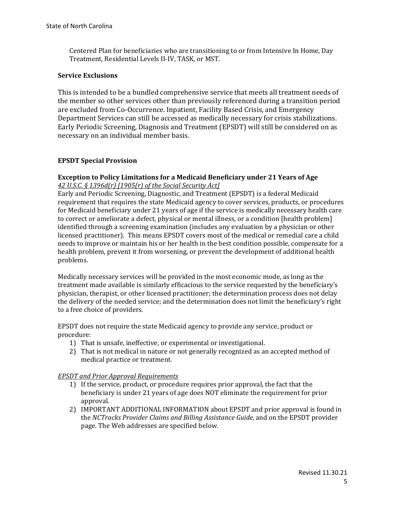Centered Plan for beneficiaries who are transitioning to or from Intensive In Home, Day Treatment, Residential Levels II-IV, TASK, or MST.

## **Service Exclusions**

This is intended to be a bundled comprehensive service that meets all treatment needs of the member so other services other than previously referenced during a transition period are excluded from Co-Occurrence. Inpatient, Facility Based Crisis, and Emergency Department Services can still be accessed as medically necessary for crisis stabilizations. Early Periodic Screening, Diagnosis and Treatment (EPSDT) will still be considered on as necessary on an individual member basis.

# **EPSDT Special Provision**

### **Exception to Policy Limitations for a Medicaid Beneficiary under 21 Years of Age**  *42 U.S.C. § 1396d(r) [1905(r) of the Social Security Act]*

Early and Periodic Screening, Diagnostic, and Treatment (EPSDT) is a federal Medicaid requirement that requires the state Medicaid agency to cover services, products, or procedures for Medicaid beneficiary under 21 years of age if the service is medically necessary health care to correct or ameliorate a defect, physical or mental illness, or a condition [health problem] identified through a screening examination (includes any evaluation by a physician or other licensed practitioner). This means EPSDT covers most of the medical or remedial care a child needs to improve or maintain his or her health in the best condition possible, compensate for a health problem, prevent it from worsening, or prevent the development of additional health problems.

Medically necessary services will be provided in the most economic mode, as long as the treatment made available is similarly efficacious to the service requested by the beneficiary's physician, therapist, or other licensed practitioner; the determination process does not delay the delivery of the needed service; and the determination does not limit the beneficiary's right to a free choice of providers.

EPSDT does not require the state Medicaid agency to provide any service, product or procedure:

- 1) That is unsafe, ineffective, or experimental or investigational.
- 2) That is not medical in nature or not generally recognized as an accepted method of medical practice or treatment.

### *EPSDT and Prior Approval Requirements*

- 1) If the service, product, or procedure requires prior approval, the fact that the beneficiary is under 21 years of age does NOT eliminate the requirement for prior approval.
- 2) IMPORTANT ADDITIONAL INFORMATION about EPSDT and prior approval is found in the *NCTracks Provider Claims and Billing Assistance Guide,* and on the EPSDT provider page. The Web addresses are specified below.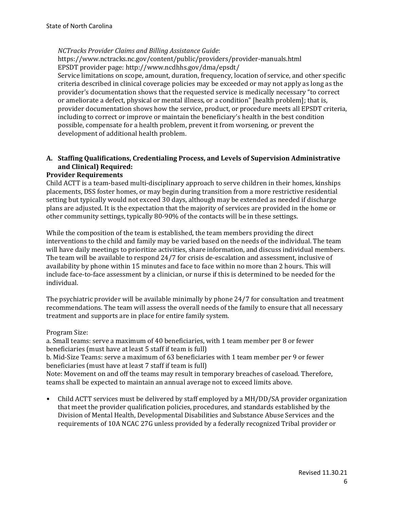### *NCTracks Provider Claims and Billing Assistance Guide*:

https://www.nctracks.nc.gov/content/public/providers/provider-manuals.html EPSDT provider page: http://www.ncdhhs.gov/dma/epsdt/

Service limitations on scope, amount, duration, frequency, location of service, and other specific criteria described in clinical coverage policies may be exceeded or may not apply as long as the provider's documentation shows that the requested service is medically necessary "to correct or ameliorate a defect, physical or mental illness, or a condition" [health problem]; that is, provider documentation shows how the service, product, or procedure meets all EPSDT criteria, including to correct or improve or maintain the beneficiary's health in the best condition possible, compensate for a health problem, prevent it from worsening, or prevent the development of additional health problem.

# **A. Staffing Qualifications, Credentialing Process, and Levels of Supervision Administrative and Clinical) Required:**

#### **Provider Requirements**

Child ACTT is a team-based multi-disciplinary approach to serve children in their homes, kinships placements, DSS foster homes, or may begin during transition from a more restrictive residential setting but typically would not exceed 30 days, although may be extended as needed if discharge plans are adjusted. It is the expectation that the majority of services are provided in the home or other community settings, typically 80-90% of the contacts will be in these settings.

While the composition of the team is established, the team members providing the direct interventions to the child and family may be varied based on the needs of the individual. The team will have daily meetings to prioritize activities, share information, and discuss individual members. The team will be available to respond 24/7 for crisis de-escalation and assessment, inclusive of availability by phone within 15 minutes and face to face within no more than 2 hours. This will include face-to-face assessment by a clinician, or nurse if this is determined to be needed for the individual.

The psychiatric provider will be available minimally by phone 24/7 for consultation and treatment recommendations. The team will assess the overall needs of the family to ensure that all necessary treatment and supports are in place for entire family system.

Program Size:

a. Small teams: serve a maximum of 40 beneficiaries, with 1 team member per 8 or fewer beneficiaries (must have at least 5 staff if team is full)

b. Mid-Size Teams: serve a maximum of 63 beneficiaries with 1 team member per 9 or fewer beneficiaries (must have at least 7 staff if team is full)

Note: Movement on and off the teams may result in temporary breaches of caseload. Therefore, teams shall be expected to maintain an annual average not to exceed limits above.

• Child ACTT services must be delivered by staff employed by a MH/DD/SA provider organization that meet the provider qualification policies, procedures, and standards established by the Division of Mental Health, Developmental Disabilities and Substance Abuse Services and the requirements of 10A NCAC 27G unless provided by a federally recognized Tribal provider or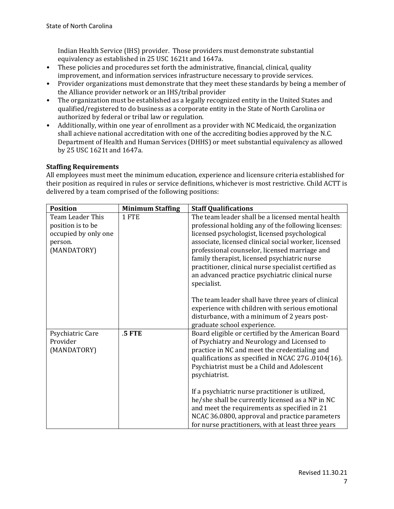Indian Health Service (IHS) provider. Those providers must demonstrate substantial equivalency as established in 25 USC 1621t and 1647a.

- These policies and procedures set forth the administrative, financial, clinical, quality improvement, and information services infrastructure necessary to provide services.
- Provider organizations must demonstrate that they meet these standards by being a member of the Alliance provider network or an IHS/tribal provider
- The organization must be established as a legally recognized entity in the United States and qualified/registered to do business as a corporate entity in the State of North Carolina or authorized by federal or tribal law or regulation.
- Additionally, within one year of enrollment as a provider with NC Medicaid, the organization shall achieve national accreditation with one of the accrediting bodies approved by the N.C. Department of Health and Human Services (DHHS) or meet substantial equivalency as allowed by 25 USC 1621t and 1647a.

# **Staffing Requirements**

All employees must meet the minimum education, experience and licensure criteria established for their position as required in rules or service definitions, whichever is most restrictive. Child ACTT is delivered by a team comprised of the following positions:

| <b>Position</b>                                                                                  | <b>Minimum Staffing</b> | <b>Staff Qualifications</b>                                                                                                                                                                                                                                                                                                                                                                                                                  |
|--------------------------------------------------------------------------------------------------|-------------------------|----------------------------------------------------------------------------------------------------------------------------------------------------------------------------------------------------------------------------------------------------------------------------------------------------------------------------------------------------------------------------------------------------------------------------------------------|
| Team Leader This<br>1 FTE<br>position is to be<br>occupied by only one<br>person.<br>(MANDATORY) |                         | The team leader shall be a licensed mental health<br>professional holding any of the following licenses:<br>licensed psychologist, licensed psychological<br>associate, licensed clinical social worker, licensed<br>professional counselor, licensed marriage and<br>family therapist, licensed psychiatric nurse<br>practitioner, clinical nurse specialist certified as<br>an advanced practice psychiatric clinical nurse<br>specialist. |
|                                                                                                  |                         | The team leader shall have three years of clinical<br>experience with children with serious emotional<br>disturbance, with a minimum of 2 years post-<br>graduate school experience.                                                                                                                                                                                                                                                         |
| .5 FTE<br>Psychiatric Care<br>Provider<br>(MANDATORY)<br>psychiatrist.                           |                         | Board eligible or certified by the American Board<br>of Psychiatry and Neurology and Licensed to<br>practice in NC and meet the credentialing and<br>qualifications as specified in NCAC 27G.0104(16).<br>Psychiatrist must be a Child and Adolescent                                                                                                                                                                                        |
|                                                                                                  |                         | If a psychiatric nurse practitioner is utilized,<br>he/she shall be currently licensed as a NP in NC<br>and meet the requirements as specified in 21<br>NCAC 36.0800, approval and practice parameters<br>for nurse practitioners, with at least three years                                                                                                                                                                                 |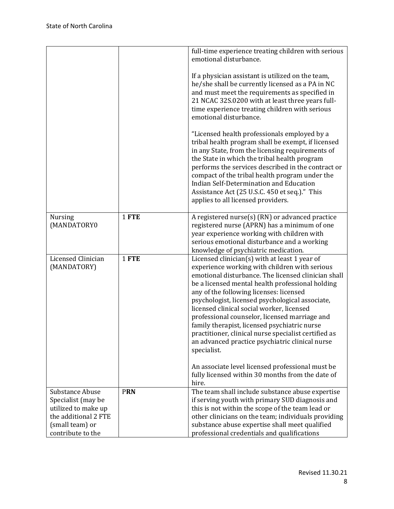|                                                                                                           |            | full-time experience treating children with serious<br>emotional disturbance.                                                                                                                                                                                                                                                                                                                                                                                                                                                                                                                                                                                                           |
|-----------------------------------------------------------------------------------------------------------|------------|-----------------------------------------------------------------------------------------------------------------------------------------------------------------------------------------------------------------------------------------------------------------------------------------------------------------------------------------------------------------------------------------------------------------------------------------------------------------------------------------------------------------------------------------------------------------------------------------------------------------------------------------------------------------------------------------|
|                                                                                                           |            | If a physician assistant is utilized on the team,<br>he/she shall be currently licensed as a PA in NC<br>and must meet the requirements as specified in<br>21 NCAC 32S.0200 with at least three years full-<br>time experience treating children with serious<br>emotional disturbance.                                                                                                                                                                                                                                                                                                                                                                                                 |
|                                                                                                           |            | "Licensed health professionals employed by a<br>tribal health program shall be exempt, if licensed<br>in any State, from the licensing requirements of<br>the State in which the tribal health program<br>performs the services described in the contract or<br>compact of the tribal health program under the<br>Indian Self-Determination and Education<br>Assistance Act (25 U.S.C. 450 et seq.)." This<br>applies to all licensed providers.                                                                                                                                                                                                                                        |
| <b>Nursing</b><br>(MANDATORY0                                                                             | 1 FTE      | A registered nurse(s) (RN) or advanced practice<br>registered nurse (APRN) has a minimum of one<br>year experience working with children with<br>serious emotional disturbance and a working<br>knowledge of psychiatric medication.                                                                                                                                                                                                                                                                                                                                                                                                                                                    |
| Licensed Clinician<br>(MANDATORY)                                                                         | 1 FTE      | Licensed clinician(s) with at least 1 year of<br>experience working with children with serious<br>emotional disturbance. The licensed clinician shall<br>be a licensed mental health professional holding<br>any of the following licenses: licensed<br>psychologist, licensed psychological associate,<br>licensed clinical social worker, licensed<br>professional counselor, licensed marriage and<br>family therapist, licensed psychiatric nurse<br>practitioner, clinical nurse specialist certified as<br>an advanced practice psychiatric clinical nurse<br>specialist.<br>An associate level licensed professional must be<br>fully licensed within 30 months from the date of |
| Substance Abuse                                                                                           | <b>PRN</b> | hire.<br>The team shall include substance abuse expertise                                                                                                                                                                                                                                                                                                                                                                                                                                                                                                                                                                                                                               |
| Specialist (may be<br>utilized to make up<br>the additional 2 FTE<br>(small team) or<br>contribute to the |            | if serving youth with primary SUD diagnosis and<br>this is not within the scope of the team lead or<br>other clinicians on the team; individuals providing<br>substance abuse expertise shall meet qualified<br>professional credentials and qualifications                                                                                                                                                                                                                                                                                                                                                                                                                             |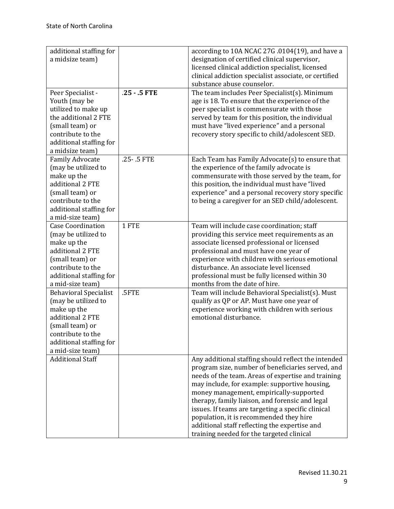| additional staffing for                     |                | according to 10A NCAC 27G .0104(19), and have a       |  |  |
|---------------------------------------------|----------------|-------------------------------------------------------|--|--|
| a midsize team)                             |                | designation of certified clinical supervisor,         |  |  |
|                                             |                | licensed clinical addiction specialist, licensed      |  |  |
|                                             |                | clinical addiction specialist associate, or certified |  |  |
|                                             |                | substance abuse counselor.                            |  |  |
| Peer Specialist -                           | $.25 - .5$ FTE | The team includes Peer Specialist(s). Minimum         |  |  |
| Youth (may be                               |                | age is 18. To ensure that the experience of the       |  |  |
| utilized to make up                         |                | peer specialist is commensurate with those            |  |  |
| the additional 2 FTE                        |                | served by team for this position, the individual      |  |  |
| (small team) or                             |                | must have "lived experience" and a personal           |  |  |
| contribute to the                           |                | recovery story specific to child/adolescent SED.      |  |  |
| additional staffing for                     |                |                                                       |  |  |
| a midsize team)                             |                |                                                       |  |  |
| <b>Family Advocate</b>                      | .25-.5 FTE     | Each Team has Family Advocate(s) to ensure that       |  |  |
| (may be utilized to                         |                | the experience of the family advocate is              |  |  |
| make up the                                 |                | commensurate with those served by the team, for       |  |  |
| additional 2 FTE                            |                | this position, the individual must have "lived        |  |  |
| (small team) or                             |                | experience" and a personal recovery story specific    |  |  |
| contribute to the                           |                | to being a caregiver for an SED child/adolescent.     |  |  |
| additional staffing for                     |                |                                                       |  |  |
| a mid-size team)                            |                |                                                       |  |  |
| <b>Case Coordination</b>                    | 1 FTE          | Team will include case coordination; staff            |  |  |
| (may be utilized to                         |                | providing this service meet requirements as an        |  |  |
| make up the                                 |                | associate licensed professional or licensed           |  |  |
| additional 2 FTE                            |                | professional and must have one year of                |  |  |
| (small team) or                             |                | experience with children with serious emotional       |  |  |
| contribute to the                           |                | disturbance. An associate level licensed              |  |  |
| additional staffing for                     |                | professional must be fully licensed within 30         |  |  |
| a mid-size team)                            |                | months from the date of hire.                         |  |  |
|                                             | .5FTE          |                                                       |  |  |
| <b>Behavioral Specialist</b>                |                | Team will include Behavioral Specialist(s). Must      |  |  |
| (may be utilized to                         |                | qualify as QP or AP. Must have one year of            |  |  |
| make up the                                 |                | experience working with children with serious         |  |  |
| additional 2 FTE                            |                | emotional disturbance.                                |  |  |
| (small team) or                             |                |                                                       |  |  |
| contribute to the                           |                |                                                       |  |  |
| additional staffing for                     |                |                                                       |  |  |
| a mid-size team)<br><b>Additional Staff</b> |                |                                                       |  |  |
|                                             |                | Any additional staffing should reflect the intended   |  |  |
|                                             |                | program size, number of beneficiaries served, and     |  |  |
|                                             |                | needs of the team. Areas of expertise and training    |  |  |
|                                             |                | may include, for example: supportive housing,         |  |  |
|                                             |                | money management, empirically-supported               |  |  |
|                                             |                | therapy, family liaison, and forensic and legal       |  |  |
|                                             |                | issues. If teams are targeting a specific clinical    |  |  |
|                                             |                | population, it is recommended they hire               |  |  |
|                                             |                | additional staff reflecting the expertise and         |  |  |
|                                             |                | training needed for the targeted clinical             |  |  |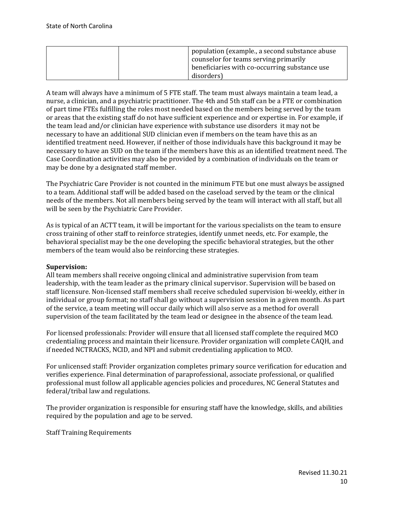| population (example., a second substance abuse<br>counselor for teams serving primarily |
|-----------------------------------------------------------------------------------------|
| beneficiaries with co-occurring substance use<br>disorders)                             |

A team will always have a minimum of 5 FTE staff. The team must always maintain a team lead, a nurse, a clinician, and a psychiatric practitioner. The 4th and 5th staff can be a FTE or combination of part time FTEs fulfilling the roles most needed based on the members being served by the team or areas that the existing staff do not have sufficient experience and or expertise in. For example, if the team lead and/or clinician have experience with substance use disorders it may not be necessary to have an additional SUD clinician even if members on the team have this as an identified treatment need. However, if neither of those individuals have this background it may be necessary to have an SUD on the team if the members have this as an identified treatment need. The Case Coordination activities may also be provided by a combination of individuals on the team or may be done by a designated staff member.

The Psychiatric Care Provider is not counted in the minimum FTE but one must always be assigned to a team. Additional staff will be added based on the caseload served by the team or the clinical needs of the members. Not all members being served by the team will interact with all staff, but all will be seen by the Psychiatric Care Provider.

As is typical of an ACTT team, it will be important for the various specialists on the team to ensure cross training of other staff to reinforce strategies, identify unmet needs, etc. For example, the behavioral specialist may be the one developing the specific behavioral strategies, but the other members of the team would also be reinforcing these strategies.

### **Supervision:**

All team members shall receive ongoing clinical and administrative supervision from team leadership, with the team leader as the primary clinical supervisor. Supervision will be based on staff licensure. Non-licensed staff members shall receive scheduled supervision bi-weekly, either in individual or group format; no staff shall go without a supervision session in a given month. As part of the service, a team meeting will occur daily which will also serve as a method for overall supervision of the team facilitated by the team lead or designee in the absence of the team lead.

For licensed professionals: Provider will ensure that all licensed staff complete the required MCO credentialing process and maintain their licensure. Provider organization will complete CAQH, and if needed NCTRACKS, NCID, and NPI and submit credentialing application to MCO.

For unlicensed staff: Provider organization completes primary source verification for education and verifies experience. Final determination of paraprofessional, associate professional, or qualified professional must follow all applicable agencies policies and procedures, NC General Statutes and federal/tribal law and regulations.

The provider organization is responsible for ensuring staff have the knowledge, skills, and abilities required by the population and age to be served.

Staff Training Requirements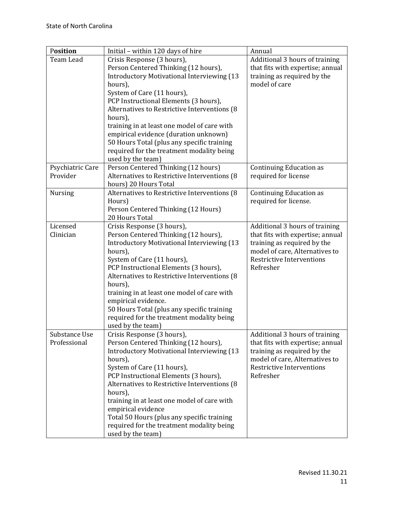| Position         | Initial - within 120 days of hire                                                       | Annual                           |
|------------------|-----------------------------------------------------------------------------------------|----------------------------------|
| Team Lead        | Crisis Response (3 hours),                                                              | Additional 3 hours of training   |
|                  | Person Centered Thinking (12 hours),                                                    | that fits with expertise; annual |
|                  | <b>Introductory Motivational Interviewing (13</b>                                       | training as required by the      |
|                  | hours),                                                                                 | model of care                    |
|                  | System of Care (11 hours),                                                              |                                  |
|                  | PCP Instructional Elements (3 hours),                                                   |                                  |
|                  | Alternatives to Restrictive Interventions (8)                                           |                                  |
|                  | hours),                                                                                 |                                  |
|                  | training in at least one model of care with                                             |                                  |
|                  | empirical evidence (duration unknown)                                                   |                                  |
|                  | 50 Hours Total (plus any specific training<br>required for the treatment modality being |                                  |
|                  | used by the team)                                                                       |                                  |
| Psychiatric Care | Person Centered Thinking (12 hours)                                                     | <b>Continuing Education as</b>   |
| Provider         | Alternatives to Restrictive Interventions (8)                                           | required for license             |
|                  | hours) 20 Hours Total                                                                   |                                  |
| <b>Nursing</b>   | Alternatives to Restrictive Interventions (8)                                           | <b>Continuing Education as</b>   |
|                  | Hours)                                                                                  | required for license.            |
|                  | Person Centered Thinking (12 Hours)                                                     |                                  |
|                  | 20 Hours Total                                                                          |                                  |
| Licensed         | Crisis Response (3 hours),                                                              | Additional 3 hours of training   |
| Clinician        | Person Centered Thinking (12 hours),                                                    | that fits with expertise; annual |
|                  | <b>Introductory Motivational Interviewing (13</b>                                       | training as required by the      |
|                  | hours),                                                                                 | model of care, Alternatives to   |
|                  | System of Care (11 hours),                                                              | <b>Restrictive Interventions</b> |
|                  | PCP Instructional Elements (3 hours),                                                   | Refresher                        |
|                  | Alternatives to Restrictive Interventions (8)                                           |                                  |
|                  | hours),                                                                                 |                                  |
|                  | training in at least one model of care with<br>empirical evidence.                      |                                  |
|                  | 50 Hours Total (plus any specific training                                              |                                  |
|                  | required for the treatment modality being                                               |                                  |
|                  | used by the team)                                                                       |                                  |
| Substance Use    | Crisis Response (3 hours),                                                              | Additional 3 hours of training   |
| Professional     | Person Centered Thinking (12 hours),                                                    | that fits with expertise; annual |
|                  | <b>Introductory Motivational Interviewing (13</b>                                       | training as required by the      |
|                  | hours),                                                                                 | model of care, Alternatives to   |
|                  | System of Care (11 hours),                                                              | <b>Restrictive Interventions</b> |
|                  | PCP Instructional Elements (3 hours),                                                   | Refresher                        |
|                  | Alternatives to Restrictive Interventions (8)                                           |                                  |
|                  | hours),                                                                                 |                                  |
|                  | training in at least one model of care with                                             |                                  |
|                  | empirical evidence                                                                      |                                  |
|                  | Total 50 Hours (plus any specific training                                              |                                  |
|                  | required for the treatment modality being                                               |                                  |
|                  | used by the team)                                                                       |                                  |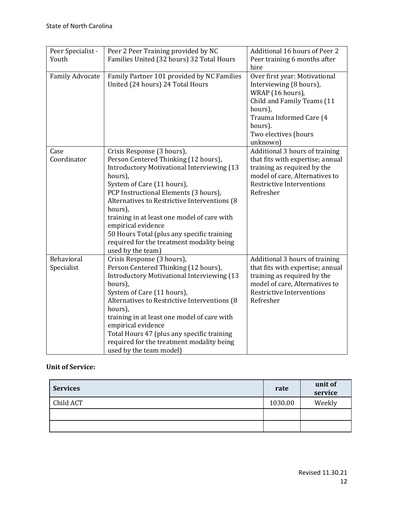| Peer Specialist -        | Peer 2 Peer Training provided by NC                                                                                                                                                                                                                                                                                                                                                                                                                         | Additional 16 hours of Peer 2                                                                                                                                                                   |
|--------------------------|-------------------------------------------------------------------------------------------------------------------------------------------------------------------------------------------------------------------------------------------------------------------------------------------------------------------------------------------------------------------------------------------------------------------------------------------------------------|-------------------------------------------------------------------------------------------------------------------------------------------------------------------------------------------------|
| Youth                    | Families United (32 hours) 32 Total Hours                                                                                                                                                                                                                                                                                                                                                                                                                   | Peer training 6 months after<br>hire                                                                                                                                                            |
| <b>Family Advocate</b>   | Family Partner 101 provided by NC Families<br>United (24 hours) 24 Total Hours                                                                                                                                                                                                                                                                                                                                                                              | Over first year: Motivational<br>Interviewing (8 hours),<br>WRAP (16 hours),<br>Child and Family Teams (11<br>hours),<br>Trauma Informed Care (4<br>hours).<br>Two electives (hours<br>unknown) |
| Case<br>Coordinator      | Crisis Response (3 hours),<br>Person Centered Thinking (12 hours),<br><b>Introductory Motivational Interviewing (13)</b><br>hours),<br>System of Care (11 hours),<br>PCP Instructional Elements (3 hours),<br>Alternatives to Restrictive Interventions (8)<br>hours),<br>training in at least one model of care with<br>empirical evidence<br>50 Hours Total (plus any specific training<br>required for the treatment modality being<br>used by the team) | Additional 3 hours of training<br>that fits with expertise; annual<br>training as required by the<br>model of care, Alternatives to<br><b>Restrictive Interventions</b><br>Refresher            |
| Behavioral<br>Specialist | Crisis Response (3 hours),<br>Person Centered Thinking (12 hours),<br><b>Introductory Motivational Interviewing (13</b><br>hours),<br>System of Care (11 hours),<br>Alternatives to Restrictive Interventions (8)<br>hours),<br>training in at least one model of care with<br>empirical evidence<br>Total Hours 47 (plus any specific training<br>required for the treatment modality being<br>used by the team model)                                     | Additional 3 hours of training<br>that fits with expertise; annual<br>training as required by the<br>model of care, Alternatives to<br><b>Restrictive Interventions</b><br>Refresher            |

## **Unit of Service:**

| <b>Services</b> | rate    | unit of<br>service |
|-----------------|---------|--------------------|
| Child ACT       | 1030.00 | Weekly             |
|                 |         |                    |
|                 |         |                    |